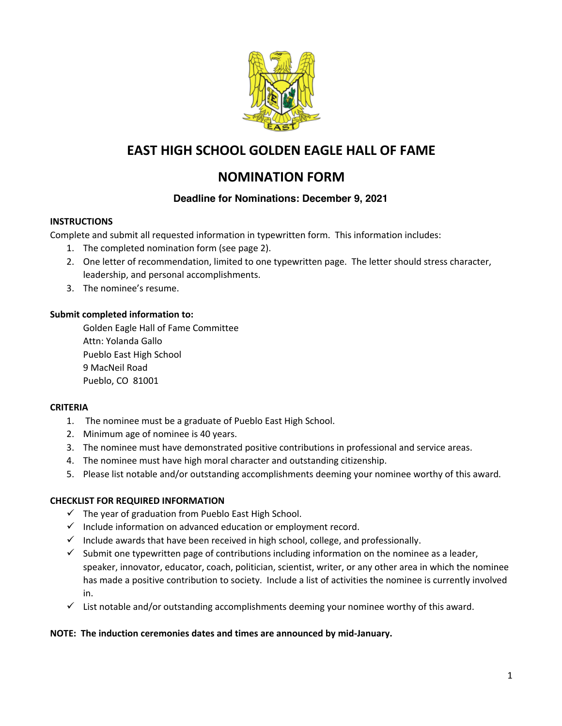

# **EAST HIGH SCHOOL GOLDEN EAGLE HALL OF FAME**

## **NOMINATION FORM**

### **Deadline for Nominations: December 9, 2021**

#### **INSTRUCTIONS**

Complete and submit all requested information in typewritten form. This information includes:

- 1. The completed nomination form (see page 2).
- 2. One letter of recommendation, limited to one typewritten page. The letter should stress character, leadership, and personal accomplishments.
- 3. The nominee's resume.

#### **Submit completed information to:**

Golden Eagle Hall of Fame Committee Attn: Yolanda Gallo Pueblo East High School 9 MacNeil Road Pueblo, CO 81001

#### **CRITERIA**

- 1. The nominee must be a graduate of Pueblo East High School.
- 2. Minimum age of nominee is 40 years.
- 3. The nominee must have demonstrated positive contributions in professional and service areas.
- 4. The nominee must have high moral character and outstanding citizenship.
- 5. Please list notable and/or outstanding accomplishments deeming your nominee worthy of this award.

### **CHECKLIST FOR REQUIRED INFORMATION**

- $\checkmark$  The year of graduation from Pueblo East High School.
- $\checkmark$  Include information on advanced education or employment record.
- $\checkmark$  Include awards that have been received in high school, college, and professionally.
- $\checkmark$  Submit one typewritten page of contributions including information on the nominee as a leader, speaker, innovator, educator, coach, politician, scientist, writer, or any other area in which the nominee has made a positive contribution to society. Include a list of activities the nominee is currently involved in.
- $\checkmark$  List notable and/or outstanding accomplishments deeming your nominee worthy of this award.

#### **NOTE: The induction ceremonies dates and times are announced by mid-January.**